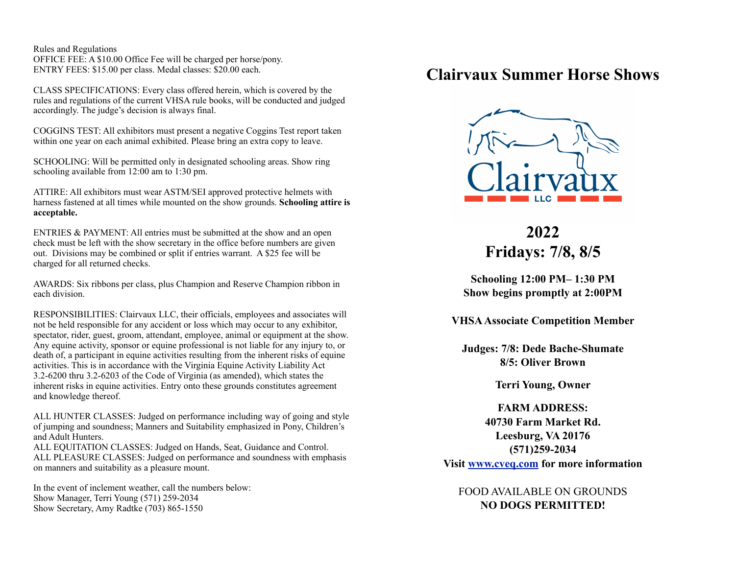Rules and Regulations OFFICE FEE: A \$10.00 Office Fee will be charged per horse/pony. ENTRY FEES: \$15.00 per class. Medal classes: \$20.00 each.

CLASS SPECIFICATIONS: Every class offered herein, which is covered by the rules and regulations of the current VHSA rule books, will be conducted and judged accordingly. The judge's decision is always final.

COGGINS TEST: All exhibitors must present a negative Coggins Test report taken within one year on each animal exhibited. Please bring an extra copy to leave.

SCHOOLING: Will be permitted only in designated schooling areas. Show ring schooling available from 12:00 am to 1:30 pm.

ATTIRE: All exhibitors must wear ASTM/SEI approved protective helmets with harness fastened at all times while mounted on the show grounds. **Schooling attire is acceptable.**

ENTRIES & PAYMENT: All entries must be submitted at the show and an open check must be left with the show secretary in the office before numbers are given out. Divisions may be combined or split if entries warrant. A \$25 fee will be charged for all returned checks.

AWARDS: Six ribbons per class, plus Champion and Reserve Champion ribbon in each division.

RESPONSIBILITIES: Clairvaux LLC, their officials, employees and associates will not be held responsible for any accident or loss which may occur to any exhibitor, spectator, rider, guest, groom, attendant, employee, animal or equipment at the show. Any equine activity, sponsor or equine professional is not liable for any injury to, or death of, a participant in equine activities resulting from the inherent risks of equine activities. This is in accordance with the Virginia Equine Activity Liability Act 3.2-6200 thru 3.2-6203 of the Code of Virginia (as amended), which states the inherent risks in equine activities. Entry onto these grounds constitutes agreement and knowledge thereof.

ALL HUNTER CLASSES: Judged on performance including way of going and style of jumping and soundness; Manners and Suitability emphasized in Pony, Children's and Adult Hunters.

ALL EQUITATION CLASSES: Judged on Hands, Seat, Guidance and Control. ALL PLEASURE CLASSES: Judged on performance and soundness with emphasis on manners and suitability as a pleasure mount.

In the event of inclement weather, call the numbers below: Show Manager, Terri Young (571) 259-2034 Show Secretary, Amy Radtke (703) 865-1550

## **Clairvaux Summer Horse Shows**



## **2022 Fridays: 7/8, 8/5**

**Schooling 12:00 PM– 1:30 PM Show begins promptly at 2:00PM**

**VHSA Associate Competition Member**

**Judges: 7/8: Dede Bache-Shumate 8/5: Oliver Brown**

**Terri Young, Owner**

**FARM ADDRESS: 40730 Farm Market Rd. Leesburg, VA 20176 (571)259-2034 Visit [www.cveq.com](http://www.cveq.com) for more information**

FOOD AVAILABLE ON GROUNDS **NO DOGS PERMITTED!**